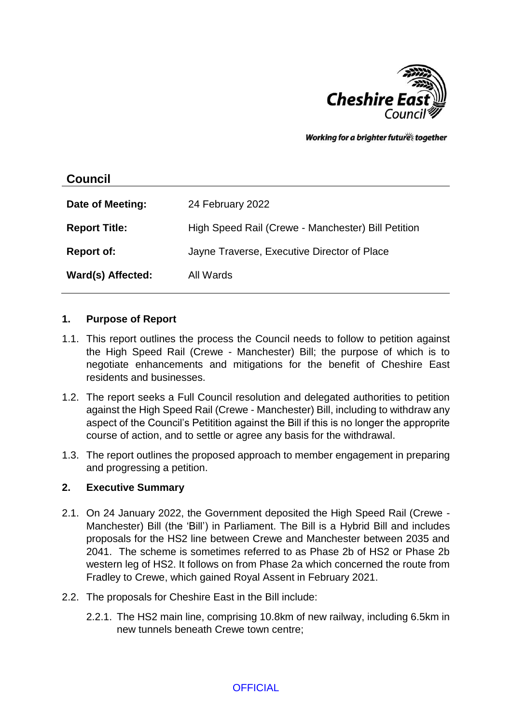

Working for a brighter futures together

# **Council Date of Meeting:** 24 February 2022 **Report Title:** High Speed Rail (Crewe - Manchester) Bill Petition **Report of:** Jayne Traverse, Executive Director of Place **Ward(s) Affected:** All Wards

#### **1. Purpose of Report**

- 1.1. This report outlines the process the Council needs to follow to petition against the High Speed Rail (Crewe - Manchester) Bill; the purpose of which is to negotiate enhancements and mitigations for the benefit of Cheshire East residents and businesses.
- 1.2. The report seeks a Full Council resolution and delegated authorities to petition against the High Speed Rail (Crewe - Manchester) Bill, including to withdraw any aspect of the Council's Petitition against the Bill if this is no longer the approprite course of action, and to settle or agree any basis for the withdrawal.
- 1.3. The report outlines the proposed approach to member engagement in preparing and progressing a petition.

#### **2. Executive Summary**

- 2.1. On 24 January 2022, the Government deposited the High Speed Rail (Crewe Manchester) Bill (the 'Bill') in Parliament. The Bill is a Hybrid Bill and includes proposals for the HS2 line between Crewe and Manchester between 2035 and 2041. The scheme is sometimes referred to as Phase 2b of HS2 or Phase 2b western leg of HS2. It follows on from Phase 2a which concerned the route from Fradley to Crewe, which gained Royal Assent in February 2021.
- 2.2. The proposals for Cheshire East in the Bill include:
	- 2.2.1. The HS2 main line, comprising 10.8km of new railway, including 6.5km in new tunnels beneath Crewe town centre;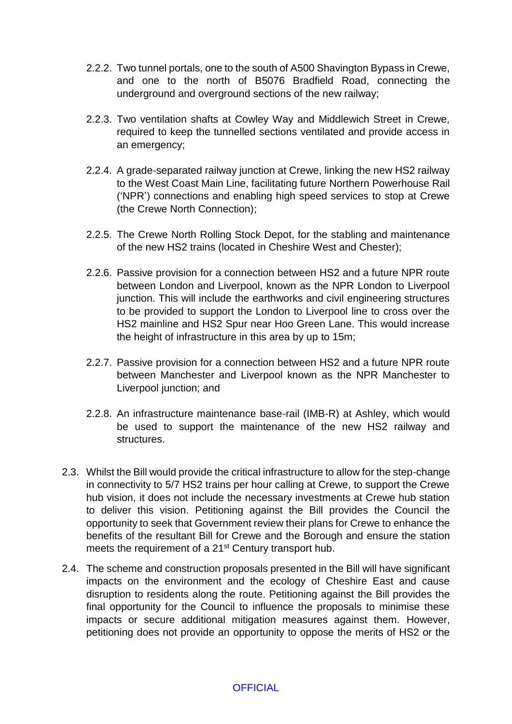- 2.2.2. Two tunnel portals, one to the south of A500 Shavington Bypass in Crewe, and one to the north of B5076 Bradfield Road, connecting the underground and overground sections of the new railway;
- 2.2.3. Two ventilation shafts at Cowley Way and Middlewich Street in Crewe, required to keep the tunnelled sections ventilated and provide access in an emergency;
- 2.2.4. A grade-separated railway junction at Crewe, linking the new HS2 railway to the West Coast Main Line, facilitating future Northern Powerhouse Rail ('NPR') connections and enabling high speed services to stop at Crewe (the Crewe North Connection);
- 2.2.5. The Crewe North Rolling Stock Depot, for the stabling and maintenance of the new HS2 trains (located in Cheshire West and Chester);
- 2.2.6. Passive provision for a connection between HS2 and a future NPR route between London and Liverpool, known as the NPR London to Liverpool junction. This will include the earthworks and civil engineering structures to be provided to support the London to Liverpool line to cross over the HS2 mainline and HS2 Spur near Hoo Green Lane. This would increase the height of infrastructure in this area by up to 15m;
- 2.2.7. Passive provision for a connection between HS2 and a future NPR route between Manchester and Liverpool known as the NPR Manchester to Liverpool junction; and
- 2.2.8. An infrastructure maintenance base-rail (IMB-R) at Ashley, which would be used to support the maintenance of the new HS2 railway and structures.
- 2.3. Whilst the Bill would provide the critical infrastructure to allow for the step-change in connectivity to 5/7 HS2 trains per hour calling at Crewe, to support the Crewe hub vision, it does not include the necessary investments at Crewe hub station to deliver this vision. Petitioning against the Bill provides the Council the opportunity to seek that Government review their plans for Crewe to enhance the benefits of the resultant Bill for Crewe and the Borough and ensure the station meets the requirement of a 21<sup>st</sup> Century transport hub.
- 2.4. The scheme and construction proposals presented in the Bill will have significant impacts on the environment and the ecology of Cheshire East and cause disruption to residents along the route. Petitioning against the Bill provides the final opportunity for the Council to influence the proposals to minimise these impacts or secure additional mitigation measures against them. However, petitioning does not provide an opportunity to oppose the merits of HS2 or the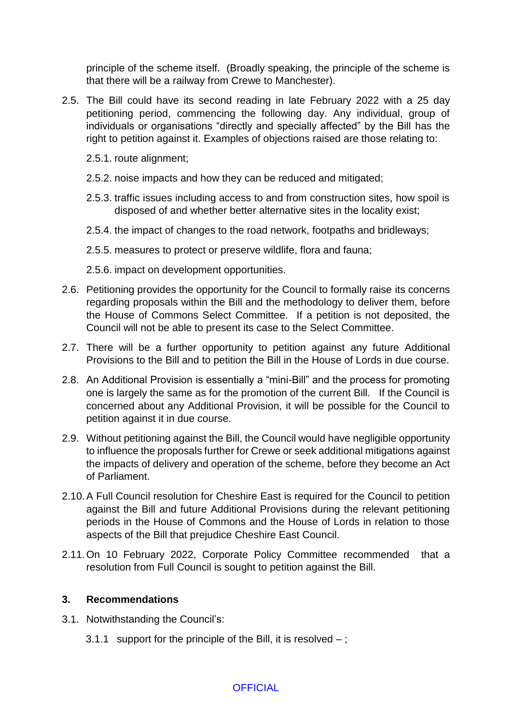principle of the scheme itself. (Broadly speaking, the principle of the scheme is that there will be a railway from Crewe to Manchester).

- 2.5. The Bill could have its second reading in late February 2022 with a 25 day petitioning period, commencing the following day. Any individual, group of individuals or organisations "directly and specially affected" by the Bill has the right to petition against it. Examples of objections raised are those relating to:
	- 2.5.1. route alignment;
	- 2.5.2. noise impacts and how they can be reduced and mitigated;
	- 2.5.3. traffic issues including access to and from construction sites, how spoil is disposed of and whether better alternative sites in the locality exist;
	- 2.5.4. the impact of changes to the road network, footpaths and bridleways;
	- 2.5.5. measures to protect or preserve wildlife, flora and fauna;
	- 2.5.6. impact on development opportunities.
- 2.6. Petitioning provides the opportunity for the Council to formally raise its concerns regarding proposals within the Bill and the methodology to deliver them, before the House of Commons Select Committee. If a petition is not deposited, the Council will not be able to present its case to the Select Committee.
- 2.7. There will be a further opportunity to petition against any future Additional Provisions to the Bill and to petition the Bill in the House of Lords in due course.
- 2.8. An Additional Provision is essentially a "mini-Bill" and the process for promoting one is largely the same as for the promotion of the current Bill. If the Council is concerned about any Additional Provision, it will be possible for the Council to petition against it in due course.
- 2.9. Without petitioning against the Bill, the Council would have negligible opportunity to influence the proposals further for Crewe or seek additional mitigations against the impacts of delivery and operation of the scheme, before they become an Act of Parliament.
- 2.10.A Full Council resolution for Cheshire East is required for the Council to petition against the Bill and future Additional Provisions during the relevant petitioning periods in the House of Commons and the House of Lords in relation to those aspects of the Bill that prejudice Cheshire East Council.
- 2.11.On 10 February 2022, Corporate Policy Committee recommended that a resolution from Full Council is sought to petition against the Bill.

#### **3. Recommendations**

- 3.1. Notwithstanding the Council's:
	- 3.1.1 support for the principle of the Bill, it is resolved  $-$ ;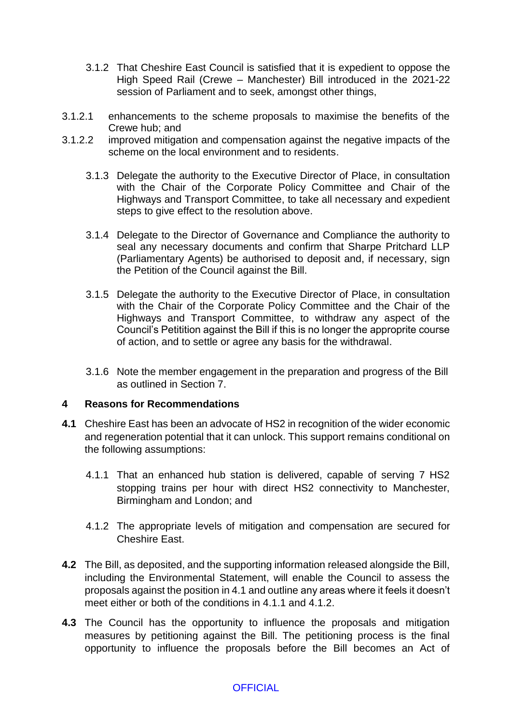- 3.1.2 That Cheshire East Council is satisfied that it is expedient to oppose the High Speed Rail (Crewe – Manchester) Bill introduced in the 2021-22 session of Parliament and to seek, amongst other things,
- 3.1.2.1 enhancements to the scheme proposals to maximise the benefits of the Crewe hub; and
- 3.1.2.2 improved mitigation and compensation against the negative impacts of the scheme on the local environment and to residents.
	- 3.1.3 Delegate the authority to the Executive Director of Place, in consultation with the Chair of the Corporate Policy Committee and Chair of the Highways and Transport Committee, to take all necessary and expedient steps to give effect to the resolution above.
	- 3.1.4 Delegate to the Director of Governance and Compliance the authority to seal any necessary documents and confirm that Sharpe Pritchard LLP (Parliamentary Agents) be authorised to deposit and, if necessary, sign the Petition of the Council against the Bill.
	- 3.1.5 Delegate the authority to the Executive Director of Place, in consultation with the Chair of the Corporate Policy Committee and the Chair of the Highways and Transport Committee, to withdraw any aspect of the Council's Petitition against the Bill if this is no longer the approprite course of action, and to settle or agree any basis for the withdrawal.
	- 3.1.6 Note the member engagement in the preparation and progress of the Bill as outlined in Section 7.

#### **4 Reasons for Recommendations**

- **4.1** Cheshire East has been an advocate of HS2 in recognition of the wider economic and regeneration potential that it can unlock. This support remains conditional on the following assumptions:
	- 4.1.1 That an enhanced hub station is delivered, capable of serving 7 HS2 stopping trains per hour with direct HS2 connectivity to Manchester, Birmingham and London; and
	- 4.1.2 The appropriate levels of mitigation and compensation are secured for Cheshire East.
- **4.2** The Bill, as deposited, and the supporting information released alongside the Bill, including the Environmental Statement, will enable the Council to assess the proposals against the position in 4.1 and outline any areas where it feels it doesn't meet either or both of the conditions in 4.1.1 and 4.1.2.
- **4.3** The Council has the opportunity to influence the proposals and mitigation measures by petitioning against the Bill. The petitioning process is the final opportunity to influence the proposals before the Bill becomes an Act of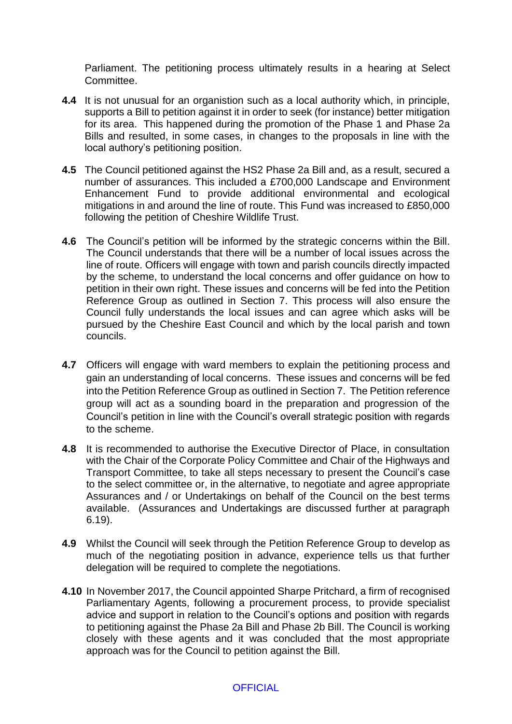Parliament. The petitioning process ultimately results in a hearing at Select Committee.

- **4.4** It is not unusual for an organistion such as a local authority which, in principle, supports a Bill to petition against it in order to seek (for instance) better mitigation for its area. This happened during the promotion of the Phase 1 and Phase 2a Bills and resulted, in some cases, in changes to the proposals in line with the local authory's petitioning position.
- **4.5** The Council petitioned against the HS2 Phase 2a Bill and, as a result, secured a number of assurances. This included a £700,000 Landscape and Environment Enhancement Fund to provide additional environmental and ecological mitigations in and around the line of route. This Fund was increased to £850,000 following the petition of Cheshire Wildlife Trust.
- **4.6** The Council's petition will be informed by the strategic concerns within the Bill. The Council understands that there will be a number of local issues across the line of route. Officers will engage with town and parish councils directly impacted by the scheme, to understand the local concerns and offer guidance on how to petition in their own right. These issues and concerns will be fed into the Petition Reference Group as outlined in Section 7. This process will also ensure the Council fully understands the local issues and can agree which asks will be pursued by the Cheshire East Council and which by the local parish and town councils.
- **4.7** Officers will engage with ward members to explain the petitioning process and gain an understanding of local concerns. These issues and concerns will be fed into the Petition Reference Group as outlined in Section 7. The Petition reference group will act as a sounding board in the preparation and progression of the Council's petition in line with the Council's overall strategic position with regards to the scheme.
- **4.8** It is recommended to authorise the Executive Director of Place, in consultation with the Chair of the Corporate Policy Committee and Chair of the Highways and Transport Committee, to take all steps necessary to present the Council's case to the select committee or, in the alternative, to negotiate and agree appropriate Assurances and / or Undertakings on behalf of the Council on the best terms available. (Assurances and Undertakings are discussed further at paragraph 6.19).
- **4.9** Whilst the Council will seek through the Petition Reference Group to develop as much of the negotiating position in advance, experience tells us that further delegation will be required to complete the negotiations.
- **4.10** In November 2017, the Council appointed Sharpe Pritchard, a firm of recognised Parliamentary Agents, following a procurement process, to provide specialist advice and support in relation to the Council's options and position with regards to petitioning against the Phase 2a Bill and Phase 2b Bill. The Council is working closely with these agents and it was concluded that the most appropriate approach was for the Council to petition against the Bill.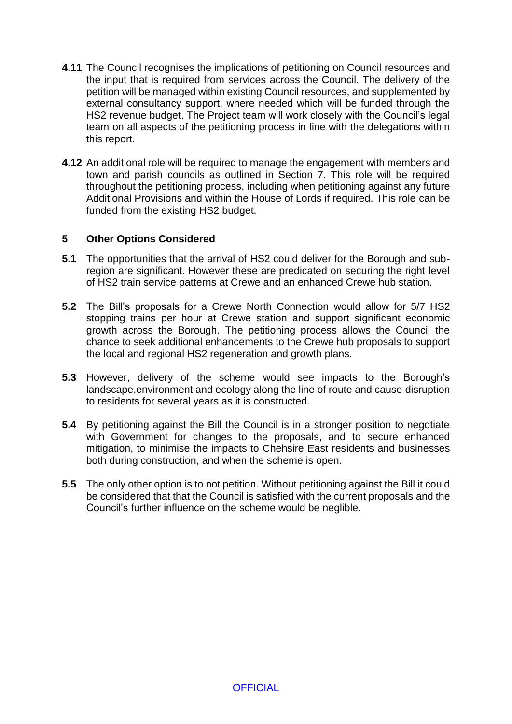- **4.11** The Council recognises the implications of petitioning on Council resources and the input that is required from services across the Council. The delivery of the petition will be managed within existing Council resources, and supplemented by external consultancy support, where needed which will be funded through the HS2 revenue budget. The Project team will work closely with the Council's legal team on all aspects of the petitioning process in line with the delegations within this report.
- **4.12** An additional role will be required to manage the engagement with members and town and parish councils as outlined in Section 7. This role will be required throughout the petitioning process, including when petitioning against any future Additional Provisions and within the House of Lords if required. This role can be funded from the existing HS2 budget.

## **5 Other Options Considered**

- **5.1** The opportunities that the arrival of HS2 could deliver for the Borough and subregion are significant. However these are predicated on securing the right level of HS2 train service patterns at Crewe and an enhanced Crewe hub station.
- **5.2** The Bill's proposals for a Crewe North Connection would allow for 5/7 HS2 stopping trains per hour at Crewe station and support significant economic growth across the Borough. The petitioning process allows the Council the chance to seek additional enhancements to the Crewe hub proposals to support the local and regional HS2 regeneration and growth plans.
- **5.3** However, delivery of the scheme would see impacts to the Borough's landscape,environment and ecology along the line of route and cause disruption to residents for several years as it is constructed.
- **5.4** By petitioning against the Bill the Council is in a stronger position to negotiate with Government for changes to the proposals, and to secure enhanced mitigation, to minimise the impacts to Chehsire East residents and businesses both during construction, and when the scheme is open.
- **5.5** The only other option is to not petition. Without petitioning against the Bill it could be considered that that the Council is satisfied with the current proposals and the Council's further influence on the scheme would be neglible.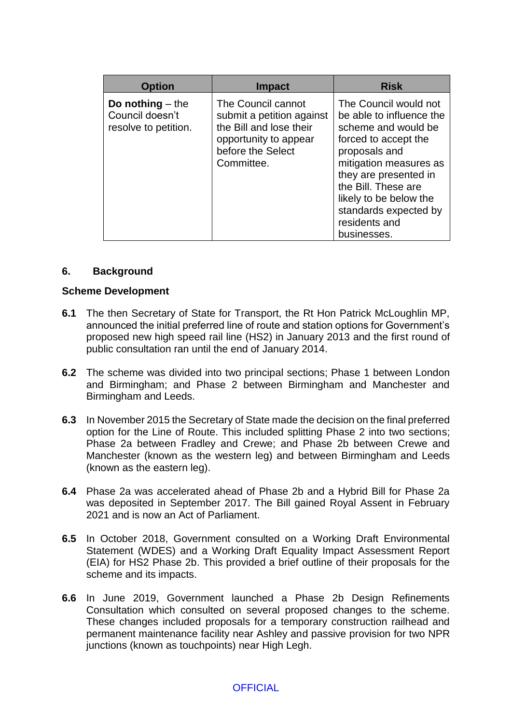| <b>Option</b>                                                 | <b>Impact</b>                                                                                                                          | <b>Risk</b>                                                                                                                                                                                                                                                                    |
|---------------------------------------------------------------|----------------------------------------------------------------------------------------------------------------------------------------|--------------------------------------------------------------------------------------------------------------------------------------------------------------------------------------------------------------------------------------------------------------------------------|
| Do nothing $-$ the<br>Council doesn't<br>resolve to petition. | The Council cannot<br>submit a petition against<br>the Bill and lose their<br>opportunity to appear<br>before the Select<br>Committee. | The Council would not<br>be able to influence the<br>scheme and would be<br>forced to accept the<br>proposals and<br>mitigation measures as<br>they are presented in<br>the Bill. These are<br>likely to be below the<br>standards expected by<br>residents and<br>businesses. |

#### **6. Background**

#### **Scheme Development**

- **6.1** The then Secretary of State for Transport, the Rt Hon Patrick McLoughlin MP, announced the initial preferred line of route and station options for Government's proposed new high speed rail line (HS2) in January 2013 and the first round of public consultation ran until the end of January 2014.
- **6.2** The scheme was divided into two principal sections; Phase 1 between London and Birmingham; and Phase 2 between Birmingham and Manchester and Birmingham and Leeds.
- **6.3** In November 2015 the Secretary of State made the decision on the final preferred option for the Line of Route. This included splitting Phase 2 into two sections; Phase 2a between Fradley and Crewe; and Phase 2b between Crewe and Manchester (known as the western leg) and between Birmingham and Leeds (known as the eastern leg).
- **6.4** Phase 2a was accelerated ahead of Phase 2b and a Hybrid Bill for Phase 2a was deposited in September 2017. The Bill gained Royal Assent in February 2021 and is now an Act of Parliament.
- **6.5** In October 2018, Government consulted on a Working Draft Environmental Statement (WDES) and a Working Draft Equality Impact Assessment Report (EIA) for HS2 Phase 2b. This provided a brief outline of their proposals for the scheme and its impacts.
- **6.6** In June 2019, Government launched a Phase 2b Design Refinements Consultation which consulted on several proposed changes to the scheme. These changes included proposals for a temporary construction railhead and permanent maintenance facility near Ashley and passive provision for two NPR junctions (known as touchpoints) near High Legh.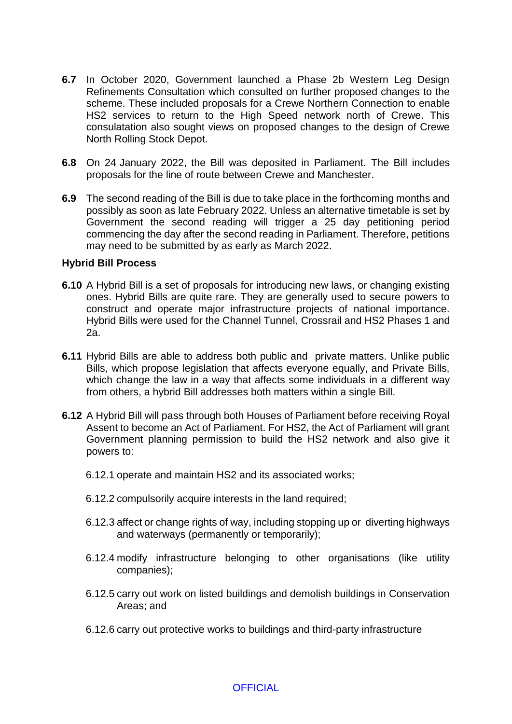- **6.7** In October 2020, Government launched a Phase 2b Western Leg Design Refinements Consultation which consulted on further proposed changes to the scheme. These included proposals for a Crewe Northern Connection to enable HS2 services to return to the High Speed network north of Crewe. This consulatation also sought views on proposed changes to the design of Crewe North Rolling Stock Depot.
- **6.8** On 24 January 2022, the Bill was deposited in Parliament. The Bill includes proposals for the line of route between Crewe and Manchester.
- **6.9** The second reading of the Bill is due to take place in the forthcoming months and possibly as soon as late February 2022. Unless an alternative timetable is set by Government the second reading will trigger a 25 day petitioning period commencing the day after the second reading in Parliament. Therefore, petitions may need to be submitted by as early as March 2022.

#### **Hybrid Bill Process**

- **6.10** A Hybrid Bill is a set of proposals for introducing new laws, or changing existing ones. Hybrid Bills are quite rare. They are generally used to secure powers to construct and operate major infrastructure projects of national importance. Hybrid Bills were used for the Channel Tunnel, Crossrail and HS2 Phases 1 and 2a.
- **6.11** Hybrid Bills are able to address both public and private matters. Unlike public Bills, which propose legislation that affects everyone equally, and Private Bills, which change the law in a way that affects some individuals in a different way from others, a hybrid Bill addresses both matters within a single Bill.
- **6.12** A Hybrid Bill will pass through both Houses of Parliament before receiving Royal Assent to become an Act of Parliament. For HS2, the Act of Parliament will grant Government planning permission to build the HS2 network and also give it powers to:
	- 6.12.1 operate and maintain HS2 and its associated works;
	- 6.12.2 compulsorily acquire interests in the land required;
	- 6.12.3 affect or change rights of way, including stopping up or diverting highways and waterways (permanently or temporarily);
	- 6.12.4 modify infrastructure belonging to other organisations (like utility companies);
	- 6.12.5 carry out work on listed buildings and demolish buildings in Conservation Areas; and
	- 6.12.6 carry out protective works to buildings and third-party infrastructure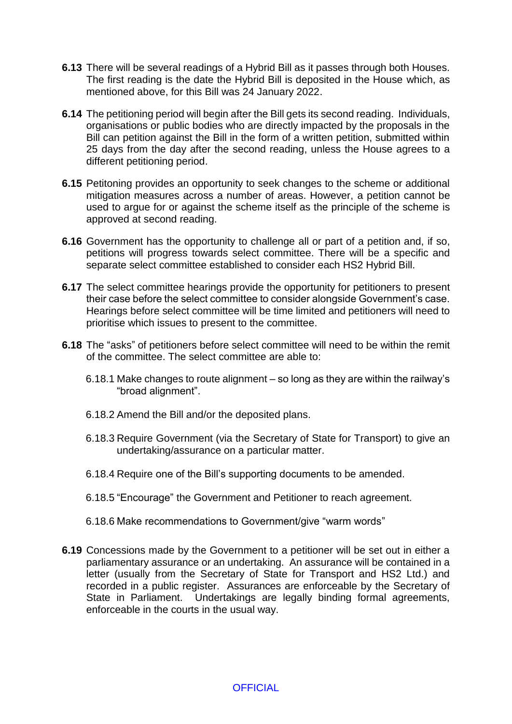- **6.13** There will be several readings of a Hybrid Bill as it passes through both Houses. The first reading is the date the Hybrid Bill is deposited in the House which, as mentioned above, for this Bill was 24 January 2022.
- **6.14** The petitioning period will begin after the Bill gets its second reading. Individuals, organisations or public bodies who are directly impacted by the proposals in the Bill can petition against the Bill in the form of a written petition, submitted within 25 days from the day after the second reading, unless the House agrees to a different petitioning period.
- **6.15** Petitoning provides an opportunity to seek changes to the scheme or additional mitigation measures across a number of areas. However, a petition cannot be used to argue for or against the scheme itself as the principle of the scheme is approved at second reading.
- **6.16** Government has the opportunity to challenge all or part of a petition and, if so, petitions will progress towards select committee. There will be a specific and separate select committee established to consider each HS2 Hybrid Bill.
- **6.17** The select committee hearings provide the opportunity for petitioners to present their case before the select committee to consider alongside Government's case. Hearings before select committee will be time limited and petitioners will need to prioritise which issues to present to the committee.
- **6.18** The "asks" of petitioners before select committee will need to be within the remit of the committee. The select committee are able to:
	- 6.18.1 Make changes to route alignment so long as they are within the railway's "broad alignment".
	- 6.18.2 Amend the Bill and/or the deposited plans.
	- 6.18.3 Require Government (via the Secretary of State for Transport) to give an undertaking/assurance on a particular matter.
	- 6.18.4 Require one of the Bill's supporting documents to be amended.
	- 6.18.5 "Encourage" the Government and Petitioner to reach agreement.
	- 6.18.6 Make recommendations to Government/give "warm words"
- **6.19** Concessions made by the Government to a petitioner will be set out in either a parliamentary assurance or an undertaking. An assurance will be contained in a letter (usually from the Secretary of State for Transport and HS2 Ltd.) and recorded in a public register. Assurances are enforceable by the Secretary of State in Parliament. Undertakings are legally binding formal agreements, enforceable in the courts in the usual way.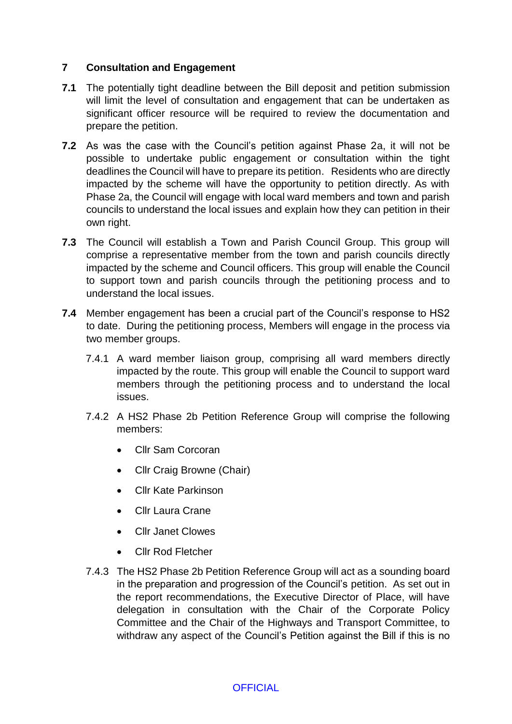# **7 Consultation and Engagement**

- **7.1** The potentially tight deadline between the Bill deposit and petition submission will limit the level of consultation and engagement that can be undertaken as significant officer resource will be required to review the documentation and prepare the petition.
- **7.2** As was the case with the Council's petition against Phase 2a, it will not be possible to undertake public engagement or consultation within the tight deadlines the Council will have to prepare its petition. Residents who are directly impacted by the scheme will have the opportunity to petition directly. As with Phase 2a, the Council will engage with local ward members and town and parish councils to understand the local issues and explain how they can petition in their own right.
- **7.3** The Council will establish a Town and Parish Council Group. This group will comprise a representative member from the town and parish councils directly impacted by the scheme and Council officers. This group will enable the Council to support town and parish councils through the petitioning process and to understand the local issues.
- **7.4** Member engagement has been a crucial part of the Council's response to HS2 to date. During the petitioning process, Members will engage in the process via two member groups.
	- 7.4.1 A ward member liaison group, comprising all ward members directly impacted by the route. This group will enable the Council to support ward members through the petitioning process and to understand the local issues.
	- 7.4.2 A HS2 Phase 2b Petition Reference Group will comprise the following members:
		- Cllr Sam Corcoran
		- Cllr Craig Browne (Chair)
		- Cllr Kate Parkinson
		- Cllr Laura Crane
		- Cllr Janet Clowes
		- Cllr Rod Fletcher
	- 7.4.3 The HS2 Phase 2b Petition Reference Group will act as a sounding board in the preparation and progression of the Council's petition. As set out in the report recommendations, the Executive Director of Place, will have delegation in consultation with the Chair of the Corporate Policy Committee and the Chair of the Highways and Transport Committee, to withdraw any aspect of the Council's Petition against the Bill if this is no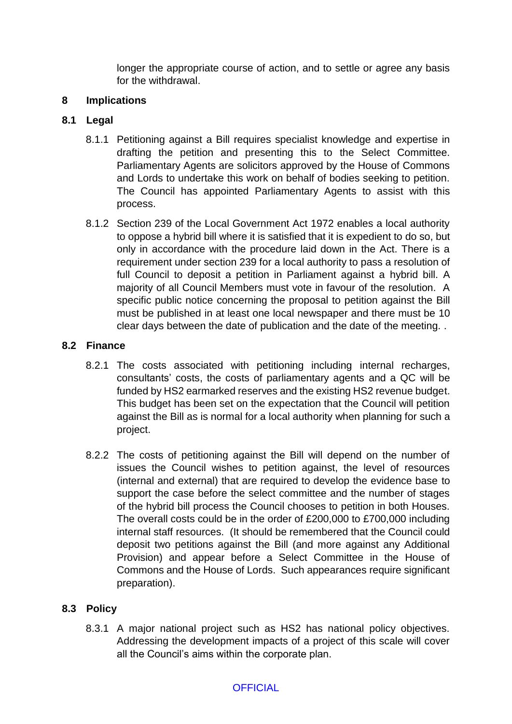longer the appropriate course of action, and to settle or agree any basis for the withdrawal.

### **8 Implications**

# **8.1 Legal**

- 8.1.1 Petitioning against a Bill requires specialist knowledge and expertise in drafting the petition and presenting this to the Select Committee. Parliamentary Agents are solicitors approved by the House of Commons and Lords to undertake this work on behalf of bodies seeking to petition. The Council has appointed Parliamentary Agents to assist with this process.
- 8.1.2 Section 239 of the Local Government Act 1972 enables a local authority to oppose a hybrid bill where it is satisfied that it is expedient to do so, but only in accordance with the procedure laid down in the Act. There is a requirement under section 239 for a local authority to pass a resolution of full Council to deposit a petition in Parliament against a hybrid bill. A majority of all Council Members must vote in favour of the resolution. A specific public notice concerning the proposal to petition against the Bill must be published in at least one local newspaper and there must be 10 clear days between the date of publication and the date of the meeting. .

## **8.2 Finance**

- 8.2.1 The costs associated with petitioning including internal recharges, consultants' costs, the costs of parliamentary agents and a QC will be funded by HS2 earmarked reserves and the existing HS2 revenue budget. This budget has been set on the expectation that the Council will petition against the Bill as is normal for a local authority when planning for such a project.
- 8.2.2 The costs of petitioning against the Bill will depend on the number of issues the Council wishes to petition against, the level of resources (internal and external) that are required to develop the evidence base to support the case before the select committee and the number of stages of the hybrid bill process the Council chooses to petition in both Houses. The overall costs could be in the order of £200,000 to £700,000 including internal staff resources. (It should be remembered that the Council could deposit two petitions against the Bill (and more against any Additional Provision) and appear before a Select Committee in the House of Commons and the House of Lords. Such appearances require significant preparation).

# **8.3 Policy**

8.3.1 A major national project such as HS2 has national policy objectives. Addressing the development impacts of a project of this scale will cover all the Council's aims within the corporate plan.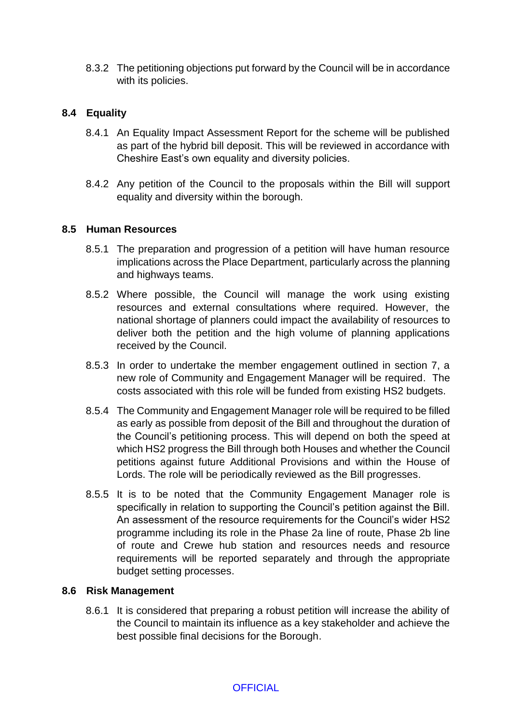8.3.2 The petitioning objections put forward by the Council will be in accordance with its policies.

# **8.4 Equality**

- 8.4.1 An Equality Impact Assessment Report for the scheme will be published as part of the hybrid bill deposit. This will be reviewed in accordance with Cheshire East's own equality and diversity policies.
- 8.4.2 Any petition of the Council to the proposals within the Bill will support equality and diversity within the borough.

#### **8.5 Human Resources**

- 8.5.1 The preparation and progression of a petition will have human resource implications across the Place Department, particularly across the planning and highways teams.
- 8.5.2 Where possible, the Council will manage the work using existing resources and external consultations where required. However, the national shortage of planners could impact the availability of resources to deliver both the petition and the high volume of planning applications received by the Council.
- 8.5.3 In order to undertake the member engagement outlined in section 7, a new role of Community and Engagement Manager will be required. The costs associated with this role will be funded from existing HS2 budgets.
- 8.5.4 The Community and Engagement Manager role will be required to be filled as early as possible from deposit of the Bill and throughout the duration of the Council's petitioning process. This will depend on both the speed at which HS2 progress the Bill through both Houses and whether the Council petitions against future Additional Provisions and within the House of Lords. The role will be periodically reviewed as the Bill progresses.
- 8.5.5 It is to be noted that the Community Engagement Manager role is specifically in relation to supporting the Council's petition against the Bill. An assessment of the resource requirements for the Council's wider HS2 programme including its role in the Phase 2a line of route, Phase 2b line of route and Crewe hub station and resources needs and resource requirements will be reported separately and through the appropriate budget setting processes.

#### **8.6 Risk Management**

8.6.1 It is considered that preparing a robust petition will increase the ability of the Council to maintain its influence as a key stakeholder and achieve the best possible final decisions for the Borough.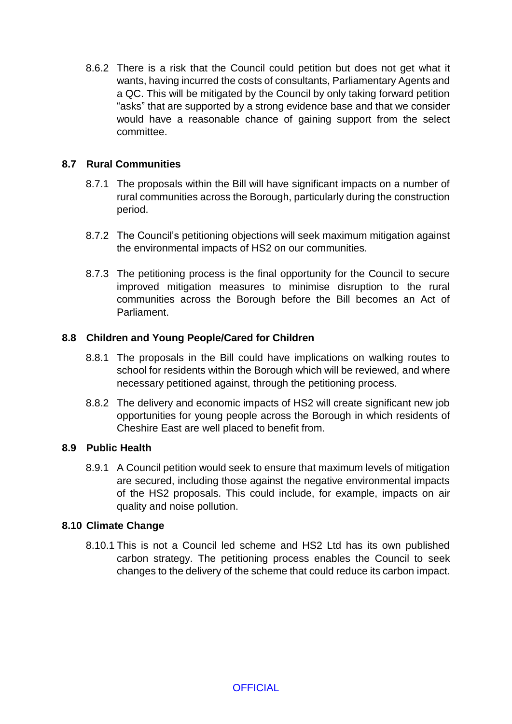8.6.2 There is a risk that the Council could petition but does not get what it wants, having incurred the costs of consultants, Parliamentary Agents and a QC. This will be mitigated by the Council by only taking forward petition "asks" that are supported by a strong evidence base and that we consider would have a reasonable chance of gaining support from the select committee.

# **8.7 Rural Communities**

- 8.7.1 The proposals within the Bill will have significant impacts on a number of rural communities across the Borough, particularly during the construction period.
- 8.7.2 The Council's petitioning objections will seek maximum mitigation against the environmental impacts of HS2 on our communities.
- 8.7.3 The petitioning process is the final opportunity for the Council to secure improved mitigation measures to minimise disruption to the rural communities across the Borough before the Bill becomes an Act of Parliament.

## **8.8 Children and Young People/Cared for Children**

- 8.8.1 The proposals in the Bill could have implications on walking routes to school for residents within the Borough which will be reviewed, and where necessary petitioned against, through the petitioning process.
- 8.8.2 The delivery and economic impacts of HS2 will create significant new job opportunities for young people across the Borough in which residents of Cheshire East are well placed to benefit from.

#### **8.9 Public Health**

8.9.1 A Council petition would seek to ensure that maximum levels of mitigation are secured, including those against the negative environmental impacts of the HS2 proposals. This could include, for example, impacts on air quality and noise pollution.

#### **8.10 Climate Change**

8.10.1 This is not a Council led scheme and HS2 Ltd has its own published carbon strategy. The petitioning process enables the Council to seek changes to the delivery of the scheme that could reduce its carbon impact.